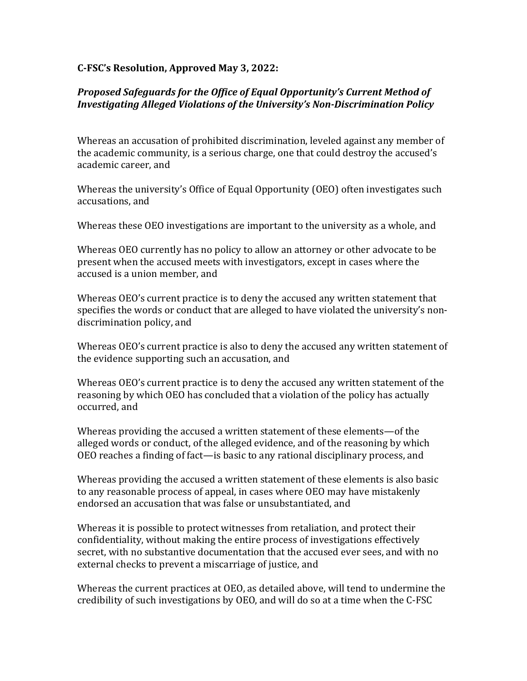## **C-FSC's Resolution, Approved May 3, 2022:**

## **Proposed Safeguards for the Office of Equal Opportunity's Current Method of** *Investigating Alleged Violations of the University's Non-Discrimination Policy*

Whereas an accusation of prohibited discrimination, leveled against any member of the academic community, is a serious charge, one that could destroy the accused's academic career, and

Whereas the university's Office of Equal Opportunity (OEO) often investigates such accusations, and

Whereas these OEO investigations are important to the university as a whole, and

Whereas OEO currently has no policy to allow an attorney or other advocate to be present when the accused meets with investigators, except in cases where the accused is a union member, and

Whereas OEO's current practice is to deny the accused any written statement that specifies the words or conduct that are alleged to have violated the university's nondiscrimination policy, and

Whereas OEO's current practice is also to deny the accused any written statement of the evidence supporting such an accusation, and

Whereas OEO's current practice is to deny the accused any written statement of the reasoning by which OEO has concluded that a violation of the policy has actually occurred, and

Whereas providing the accused a written statement of these elements—of the alleged words or conduct, of the alleged evidence, and of the reasoning by which OEO reaches a finding of fact—is basic to any rational disciplinary process, and

Whereas providing the accused a written statement of these elements is also basic to any reasonable process of appeal, in cases where OEO may have mistakenly endorsed an accusation that was false or unsubstantiated, and

Whereas it is possible to protect witnesses from retaliation, and protect their confidentiality, without making the entire process of investigations effectively secret, with no substantive documentation that the accused ever sees, and with no external checks to prevent a miscarriage of justice, and

Whereas the current practices at OEO, as detailed above, will tend to undermine the credibility of such investigations by OEO, and will do so at a time when the C-FSC